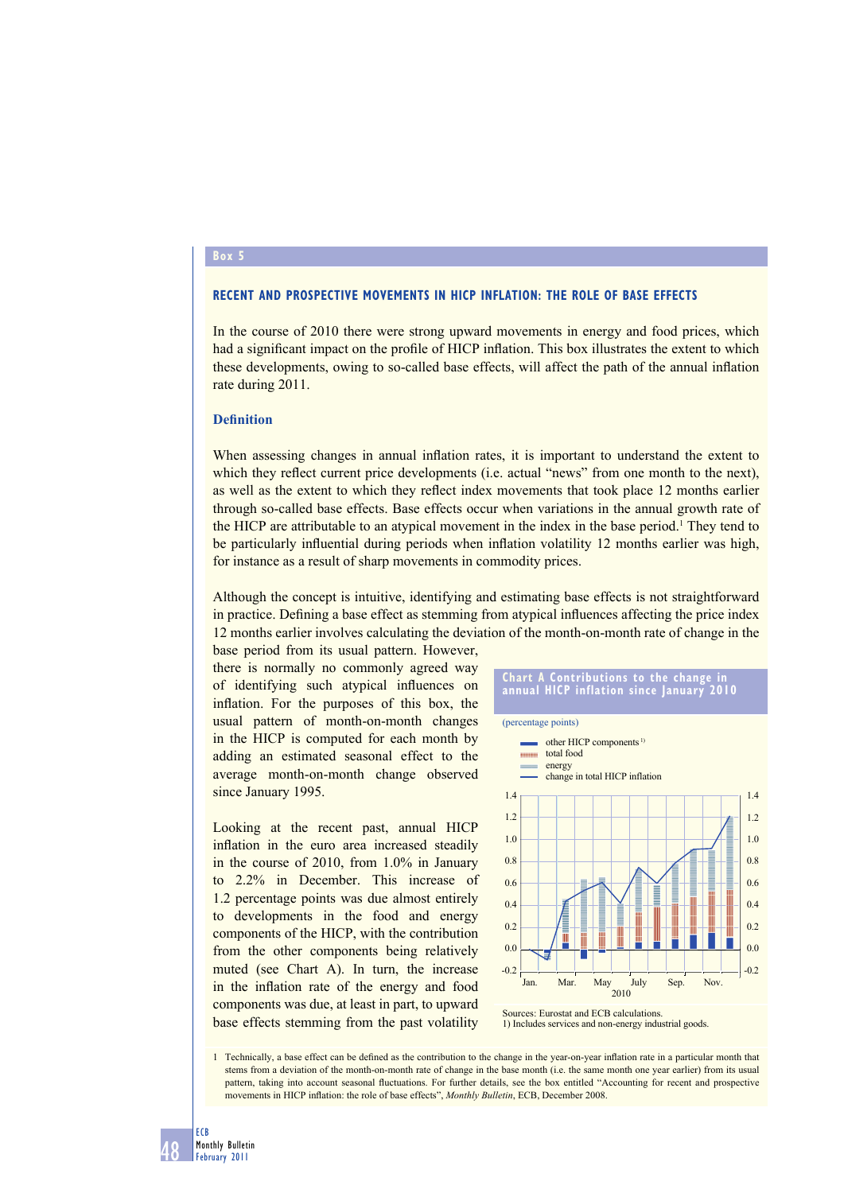## **Box 5**

## **RECENT AND PROSPECTIVE MOVEMENTS IN HICP INFLATION: THE ROLE OF BASE EFFECTS**

In the course of 2010 there were strong upward movements in energy and food prices, which had a significant impact on the profile of HICP inflation. This box illustrates the extent to which these developments, owing to so-called base effects, will affect the path of the annual inflation rate during 2011.

## **Definition**

When assessing changes in annual inflation rates, it is important to understand the extent to which they reflect current price developments (i.e. actual "news" from one month to the next), as well as the extent to which they reflect index movements that took place 12 months earlier through so-called base effects. Base effects occur when variations in the annual growth rate of the HICP are attributable to an atypical movement in the index in the base period.<sup>1</sup> They tend to be particularly influential during periods when inflation volatility 12 months earlier was high, for instance as a result of sharp movements in commodity prices.

Although the concept is intuitive, identifying and estimating base effects is not straightforward in practice. Defining a base effect as stemming from atypical influences affecting the price index 12 months earlier involves calculating the deviation of the month-on-month rate of change in the

base period from its usual pattern. However, there is normally no commonly agreed way of identifying such atypical influences on inflation. For the purposes of this box, the usual pattern of month-on-month changes in the HICP is computed for each month by adding an estimated seasonal effect to the average month-on-month change observed since January 1995.

Looking at the recent past, annual HICP inflation in the euro area increased steadily in the course of 2010, from 1.0% in January to 2.2% in December. This increase of 1.2 percentage points was due almost entirely to developments in the food and energy components of the HICP, with the contribution from the other components being relatively muted (see Chart A). In turn, the increase in the inflation rate of the energy and food components was due, at least in part, to upward base effects stemming from the past volatility



<sup>1)</sup> Includes services and non-energy industrial goods.

1 Technically, a base effect can be defined as the contribution to the change in the year-on-year inflation rate in a particular month that stems from a deviation of the month-on-month rate of change in the base month (i.e. the same month one year earlier) from its usual pattern, taking into account seasonal fluctuations. For further details, see the box entitled "Accounting for recent and prospective movements in HICP inflation: the role of base effects", *Monthly Bulletin*, ECB, December 2008.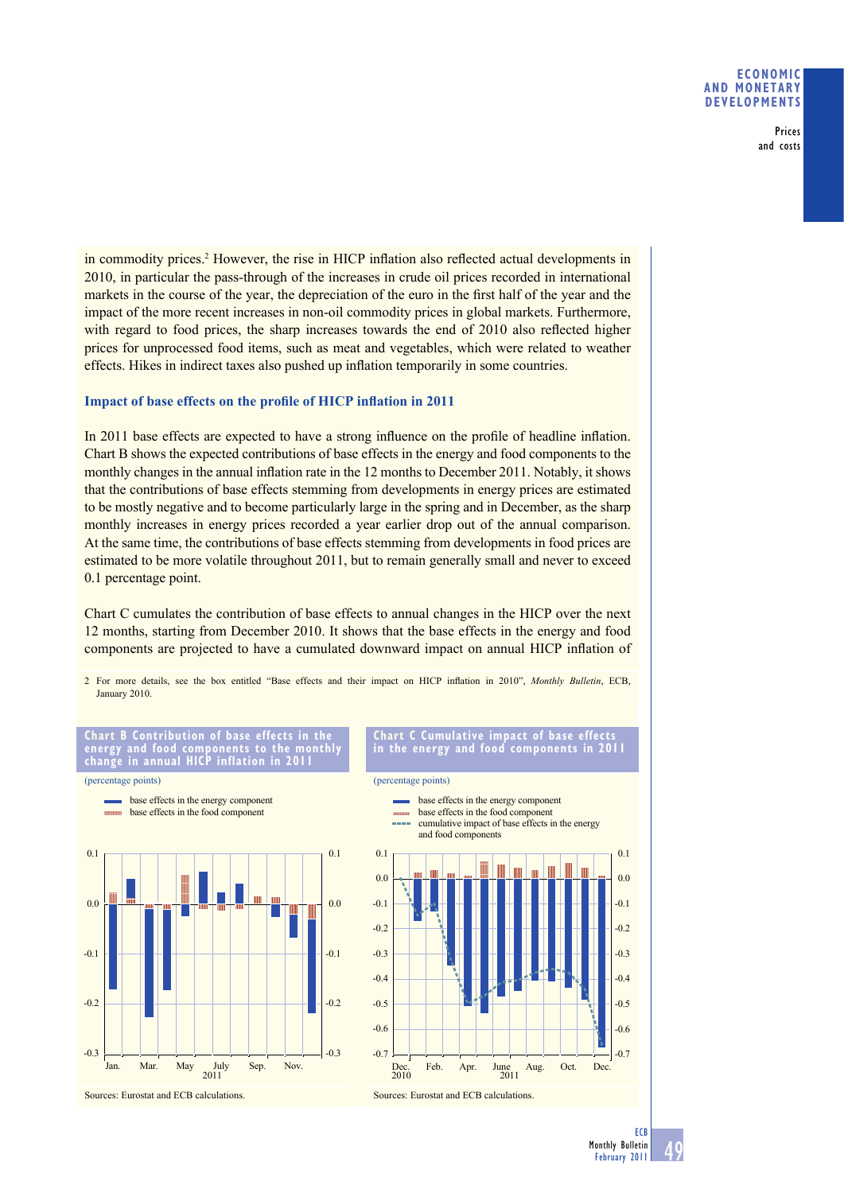Prices and costs

in commodity prices.<sup>2</sup> However, the rise in HICP inflation also reflected actual developments in 2010, in particular the pass-through of the increases in crude oil prices recorded in international markets in the course of the year, the depreciation of the euro in the first half of the year and the impact of the more recent increases in non-oil commodity prices in global markets. Furthermore, with regard to food prices, the sharp increases towards the end of 2010 also reflected higher prices for unprocessed food items, such as meat and vegetables, which were related to weather effects. Hikes in indirect taxes also pushed up inflation temporarily in some countries.

## **Impact of base effects on the profile of HICP inflation in 2011**

In 2011 base effects are expected to have a strong influence on the profile of headline inflation. Chart B shows the expected contributions of base effects in the energy and food components to the monthly changes in the annual inflation rate in the 12 months to December 2011. Notably, it shows that the contributions of base effects stemming from developments in energy prices are estimated to be mostly negative and to become particularly large in the spring and in December, as the sharp monthly increases in energy prices recorded a year earlier drop out of the annual comparison. At the same time, the contributions of base effects stemming from developments in food prices are estimated to be more volatile throughout 2011, but to remain generally small and never to exceed 0.1 percentage point.

Chart C cumulates the contribution of base effects to annual changes in the HICP over the next 12 months, starting from December 2010. It shows that the base effects in the energy and food components are projected to have a cumulated downward impact on annual HICP inflation of

2 For more details, see the box entitled "Base effects and their impact on HICP inflation in 2010", *Monthly Bulletin*, ECB, January 2010.



2011 Jan. Mar. May July Sep. Nov.

Sources: Eurostat and ECB calculations.

**B** Contribution of

**Cumulative impact of base in the energy and food components in 2011**



49 **ECB** Monthly Bulletin February 2011